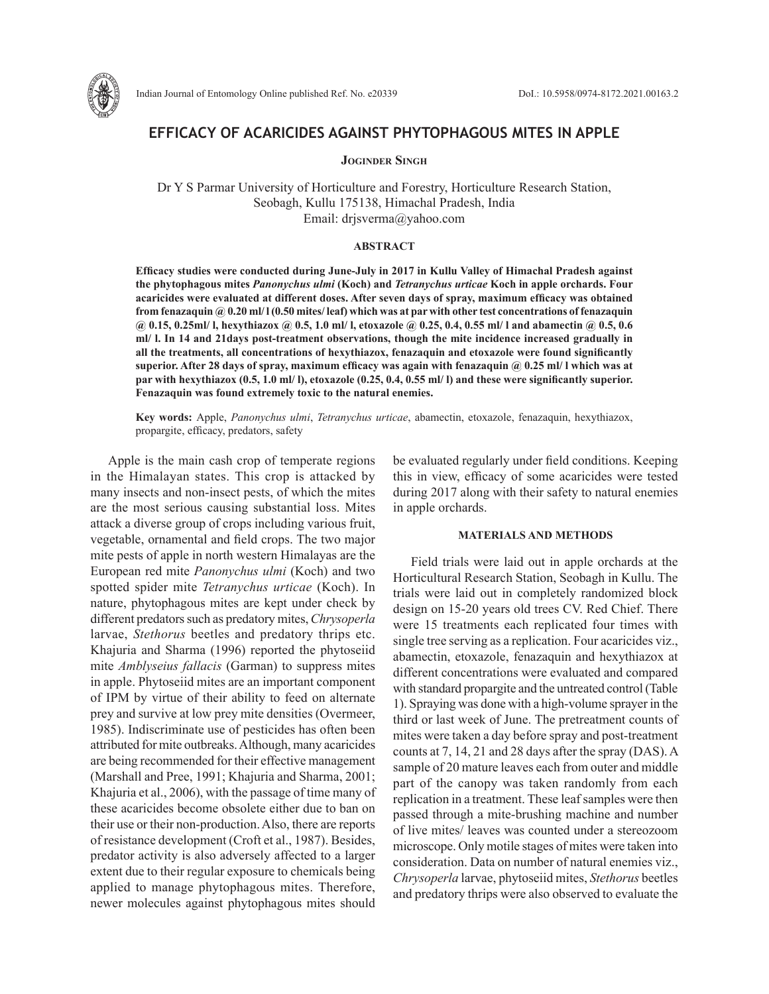

# **EFFICACY OF ACARICIDES AGAINST PHYTOPHAGOUS MITES IN APPLE**

**Joginder Singh**

Dr Y S Parmar University of Horticulture and Forestry, Horticulture Research Station, Seobagh, Kullu 175138, Himachal Pradesh, India Email: drjsverma@yahoo.com

## **ABSTRACT**

**Efficacy studies were conducted during June-July in 2017 in Kullu Valley of Himachal Pradesh against the phytophagous mites** *Panonychus ulmi* **(Koch) and** *Tetranychus urticae* **Koch in apple orchards. Four acaricides were evaluated at different doses. After seven days of spray, maximum efficacy was obtained from fenazaquin @ 0.20 ml/ l (0.50 mites/ leaf) which was at par with other test concentrations of fenazaquin @ 0.15, 0.25ml/ l, hexythiazox @ 0.5, 1.0 ml/ l, etoxazole @ 0.25, 0.4, 0.55 ml/ l and abamectin @ 0.5, 0.6 ml/ l. In 14 and 21days post-treatment observations, though the mite incidence increased gradually in all the treatments, all concentrations of hexythiazox, fenazaquin and etoxazole were found significantly superior. After 28 days of spray, maximum efficacy was again with fenazaquin @ 0.25 ml/ l which was at par with hexythiazox (0.5, 1.0 ml/ l), etoxazole (0.25, 0.4, 0.55 ml/ l) and these were significantly superior. Fenazaquin was found extremely toxic to the natural enemies.**

**Key words:** Apple, *Panonychus ulmi*, *Tetranychus urticae*, abamectin, etoxazole, fenazaquin, hexythiazox, propargite, efficacy, predators, safety

Apple is the main cash crop of temperate regions in the Himalayan states. This crop is attacked by many insects and non-insect pests, of which the mites are the most serious causing substantial loss. Mites attack a diverse group of crops including various fruit, vegetable, ornamental and field crops. The two major mite pests of apple in north western Himalayas are the European red mite *Panonychus ulmi* (Koch) and two spotted spider mite *Tetranychus urticae* (Koch). In nature, phytophagous mites are kept under check by different predators such as predatory mites, *Chrysoperla* larvae, *Stethorus* beetles and predatory thrips etc. Khajuria and Sharma (1996) reported the phytoseiid mite *Amblyseius fallacis* (Garman) to suppress mites in apple. Phytoseiid mites are an important component of IPM by virtue of their ability to feed on alternate prey and survive at low prey mite densities (Overmeer, 1985). Indiscriminate use of pesticides has often been attributed for mite outbreaks. Although, many acaricides are being recommended for their effective management (Marshall and Pree, 1991; Khajuria and Sharma, 2001; Khajuria et al., 2006), with the passage of time many of these acaricides become obsolete either due to ban on their use or their non-production. Also, there are reports of resistance development (Croft et al., 1987). Besides, predator activity is also adversely affected to a larger extent due to their regular exposure to chemicals being applied to manage phytophagous mites. Therefore, newer molecules against phytophagous mites should

be evaluated regularly under field conditions. Keeping this in view, efficacy of some acaricides were tested during 2017 along with their safety to natural enemies in apple orchards.

#### **MATERIALS AND METHODS**

Field trials were laid out in apple orchards at the Horticultural Research Station, Seobagh in Kullu. The trials were laid out in completely randomized block design on 15-20 years old trees CV. Red Chief. There were 15 treatments each replicated four times with single tree serving as a replication. Four acaricides viz., abamectin, etoxazole, fenazaquin and hexythiazox at different concentrations were evaluated and compared with standard propargite and the untreated control (Table 1). Spraying was done with a high-volume sprayer in the third or last week of June. The pretreatment counts of mites were taken a day before spray and post-treatment counts at 7, 14, 21 and 28 days after the spray (DAS). A sample of 20 mature leaves each from outer and middle part of the canopy was taken randomly from each replication in a treatment. These leaf samples were then passed through a mite-brushing machine and number of live mites/ leaves was counted under a stereozoom microscope. Only motile stages of mites were taken into consideration. Data on number of natural enemies viz., *Chrysoperla* larvae, phytoseiid mites, *Stethorus* beetles and predatory thrips were also observed to evaluate the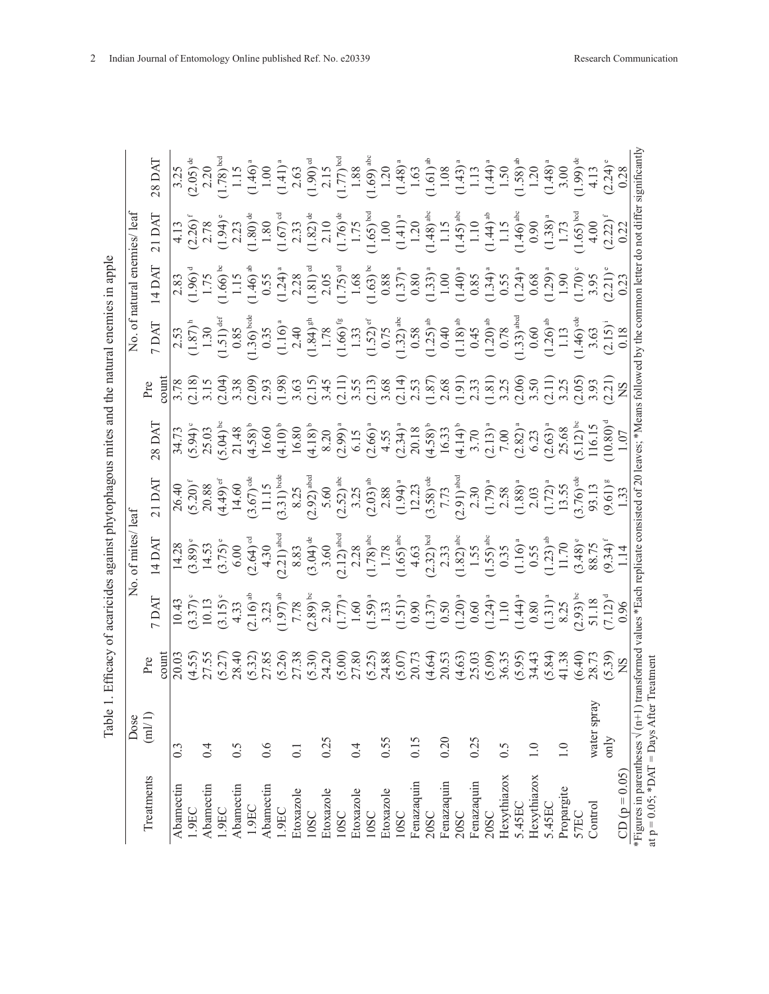| an anni a<br>l<br>ı                                        |
|------------------------------------------------------------|
|                                                            |
|                                                            |
|                                                            |
|                                                            |
|                                                            |
|                                                            |
|                                                            |
|                                                            |
| $\frac{1}{2}$                                              |
| ١                                                          |
| then at accounted a count physical parameter $\frac{1}{2}$ |
|                                                            |
| :<br>;<br>;<br>ξ<br>Γ                                      |
|                                                            |
| $\frac{1}{2}$<br>$\ddot{\phantom{0}}$<br>l                 |

|                                                                            | Dose              |                |                                                                                                                                                                                                                                                                                                                                    |                                                                                                                                                                                                                                                                                                            |       |                                                                                                                                                                                                                                                                                                                                                  |                                                                                                                                                                                                                                                                                                                                                                                                                                                                                                                         |                                                                                                                                                                                                                                                                                                                                  |          |                                                                                |                                                                                                                                                                                                                                                                                                                                                                                                                                      |
|----------------------------------------------------------------------------|-------------------|----------------|------------------------------------------------------------------------------------------------------------------------------------------------------------------------------------------------------------------------------------------------------------------------------------------------------------------------------------|------------------------------------------------------------------------------------------------------------------------------------------------------------------------------------------------------------------------------------------------------------------------------------------------------------|-------|--------------------------------------------------------------------------------------------------------------------------------------------------------------------------------------------------------------------------------------------------------------------------------------------------------------------------------------------------|-------------------------------------------------------------------------------------------------------------------------------------------------------------------------------------------------------------------------------------------------------------------------------------------------------------------------------------------------------------------------------------------------------------------------------------------------------------------------------------------------------------------------|----------------------------------------------------------------------------------------------------------------------------------------------------------------------------------------------------------------------------------------------------------------------------------------------------------------------------------|----------|--------------------------------------------------------------------------------|--------------------------------------------------------------------------------------------------------------------------------------------------------------------------------------------------------------------------------------------------------------------------------------------------------------------------------------------------------------------------------------------------------------------------------------|
| Treatments                                                                 | $\mbox{(ml/l)}$   | $20 \text{nm}$ |                                                                                                                                                                                                                                                                                                                                    | $\begin{array}{l} 14\,D\,A\\ 14.28\\ 14.53\\ 3.60\\ 6.00\\ 6.00\\ 7.75\end{array},\\ \begin{array}{l} 6,60\\ 7,61\\ 8,83\\ 7,10\\ 8,83\\ 3.60\\ 7,10\\ 8,85\\ 7,11\\ 7,8\\ 8,8\\ 7,11\\ 7,8\\ 8,8\\ 7,11\\ 7,8\\ 8\\ 8,8\\ 7,11\\ 7,8\\ 8\\ 9\end{array},\\ \begin{array}{l} 6,60\\ 7,60\\ 8,8\\ 7,11\\ 7$ | 21 DA | $\begin{array}{l} \n 8 \text{ DAD} \\ \n 74.73 \text{ } (3.94) \\ \n 94.73 \text{ } (5.91) \\ \n 95.03 \text{ } (5.91) \\ \n 96.03 \text{ } (5.91) \\ \n 97.03 \text{ } (5.91) \\ \n 98.03 \text{ } (5.91) \\ \n 99.03 \text{ } (5.91) \\ \n 99.03 \text{ } (5.91) \\ \n 99.03 \text{ } (5.91) \\ \n 99.03 \text{ } (5.91) \\ \n 99.03 \text{ }$ |                                                                                                                                                                                                                                                                                                                                                                                                                                                                                                                         | $7 DM \overline{) \overline{) \overline{130}} \begin{bmatrix} 1.30 \\ 0.87 \\ 1.30 \\ 0.99 \\ 0.99 \\ 0.90 \\ 0.90 \\ 0.90 \\ 0.90 \\ 0.90 \\ 0.90 \\ 0.90 \\ 0.90 \\ 0.90 \\ 0.90 \\ 0.90 \\ 0.90 \\ 0.90 \\ 0.90 \\ 0.90 \\ 0.90 \\ 0.90 \\ 0.90 \\ 0.90 \\ 0.90 \\ 0.90 \\ 0.90 \\ 0.90 \\ 0.90 \\ 0.90 \\ 0.90 \\ 0.90 \\ 0$ |          |                                                                                |                                                                                                                                                                                                                                                                                                                                                                                                                                      |
| Abamectin                                                                  | 0.3               |                |                                                                                                                                                                                                                                                                                                                                    |                                                                                                                                                                                                                                                                                                            |       |                                                                                                                                                                                                                                                                                                                                                  |                                                                                                                                                                                                                                                                                                                                                                                                                                                                                                                         |                                                                                                                                                                                                                                                                                                                                  |          |                                                                                |                                                                                                                                                                                                                                                                                                                                                                                                                                      |
| 1.9EC                                                                      |                   |                |                                                                                                                                                                                                                                                                                                                                    |                                                                                                                                                                                                                                                                                                            |       |                                                                                                                                                                                                                                                                                                                                                  |                                                                                                                                                                                                                                                                                                                                                                                                                                                                                                                         |                                                                                                                                                                                                                                                                                                                                  |          |                                                                                |                                                                                                                                                                                                                                                                                                                                                                                                                                      |
| Abamectin                                                                  | 0.4               |                |                                                                                                                                                                                                                                                                                                                                    |                                                                                                                                                                                                                                                                                                            |       |                                                                                                                                                                                                                                                                                                                                                  |                                                                                                                                                                                                                                                                                                                                                                                                                                                                                                                         |                                                                                                                                                                                                                                                                                                                                  |          |                                                                                |                                                                                                                                                                                                                                                                                                                                                                                                                                      |
| 1.9EC                                                                      |                   |                |                                                                                                                                                                                                                                                                                                                                    |                                                                                                                                                                                                                                                                                                            |       |                                                                                                                                                                                                                                                                                                                                                  |                                                                                                                                                                                                                                                                                                                                                                                                                                                                                                                         |                                                                                                                                                                                                                                                                                                                                  |          |                                                                                |                                                                                                                                                                                                                                                                                                                                                                                                                                      |
| Abamectin                                                                  | $\widetilde{S}$ 0 |                |                                                                                                                                                                                                                                                                                                                                    |                                                                                                                                                                                                                                                                                                            |       |                                                                                                                                                                                                                                                                                                                                                  |                                                                                                                                                                                                                                                                                                                                                                                                                                                                                                                         |                                                                                                                                                                                                                                                                                                                                  |          |                                                                                |                                                                                                                                                                                                                                                                                                                                                                                                                                      |
| 1.9EC                                                                      |                   |                |                                                                                                                                                                                                                                                                                                                                    |                                                                                                                                                                                                                                                                                                            |       |                                                                                                                                                                                                                                                                                                                                                  |                                                                                                                                                                                                                                                                                                                                                                                                                                                                                                                         |                                                                                                                                                                                                                                                                                                                                  |          |                                                                                |                                                                                                                                                                                                                                                                                                                                                                                                                                      |
| Abamectin                                                                  | $0.\overline{6}$  |                |                                                                                                                                                                                                                                                                                                                                    |                                                                                                                                                                                                                                                                                                            |       |                                                                                                                                                                                                                                                                                                                                                  |                                                                                                                                                                                                                                                                                                                                                                                                                                                                                                                         |                                                                                                                                                                                                                                                                                                                                  |          |                                                                                |                                                                                                                                                                                                                                                                                                                                                                                                                                      |
| 1.9EC                                                                      |                   |                | $\begin{array}{l} [140] \\[-4.0ex] [-14.0ex] [-14.0ex] [-14.0ex] [-14.0ex] [-14.0ex] [-14.0ex] [-14.0ex] [-14.0ex] [-14.0ex] [-14.0ex] [-14.0ex] [-14.0ex] [-14.0ex] [-14.0ex] [-14.0ex] [-14.0ex] [-14.0ex] [-14.0ex] [-14.0ex] [-14.0ex] [-14.0ex] [-14.0ex] [-14.0ex] [-14.0ex] [-14.0ex] [-14.0ex] [-14.0ex] [-14.0ex] [-14.0$ |                                                                                                                                                                                                                                                                                                            |       |                                                                                                                                                                                                                                                                                                                                                  | $\begin{array}{l} \Xi\, \mathcal{C}\rangle\cong\mathbb{R}\times\mathbb{R}\times\mathbb{R}\times\mathbb{R}\times\mathbb{R}\times\mathbb{R}\times\mathbb{R}\times\mathbb{R}\times\mathbb{R}\times\mathbb{R}\times\mathbb{R}\times\mathbb{R}\times\mathbb{R}\times\mathbb{R}\times\mathbb{R}\times\mathbb{R}\times\mathbb{R}\times\mathbb{R}\times\mathbb{R}\times\mathbb{R}\times\mathbb{R}\times\mathbb{R}\times\mathbb{R}\times\mathbb{R}\times\mathbb{R}\times\mathbb{R}\times\mathbb{R}\times\mathbb{R}\times\mathbb$ |                                                                                                                                                                                                                                                                                                                                  |          | $\begin{array}{l} \n\hline\n4.13 \\ 0.26 \\ 1.30 \\ 1.45 \\ 0.50\n\end{array}$ | $\begin{array}{l} 3.35_{10}^{3} \text{ s} \ \hline 1.78 \text{ }\overset{\text{a}}{0.5} \text{ } \overset{\text{a}}{0.5} \text{ } \overset{\text{a}}{1.1} \text{ } \overset{\text{a}}{1.1} \text{ } \overset{\text{a}}{1.1} \text{ } \overset{\text{a}}{0.5} \text{ } \overset{\text{a}}{0.5} \text{ } \overset{\text{b}}{1.1} \text{ } \overset{\text{c}}{1.1} \text{ } \overset{\text{c}}{1.1} \text{ } \overset{\text{c}}{1.1} \$ |
| Etoxazole                                                                  | $\overline{0}$ .  |                |                                                                                                                                                                                                                                                                                                                                    |                                                                                                                                                                                                                                                                                                            |       |                                                                                                                                                                                                                                                                                                                                                  |                                                                                                                                                                                                                                                                                                                                                                                                                                                                                                                         |                                                                                                                                                                                                                                                                                                                                  |          |                                                                                |                                                                                                                                                                                                                                                                                                                                                                                                                                      |
| 10SC                                                                       |                   |                |                                                                                                                                                                                                                                                                                                                                    |                                                                                                                                                                                                                                                                                                            |       |                                                                                                                                                                                                                                                                                                                                                  |                                                                                                                                                                                                                                                                                                                                                                                                                                                                                                                         |                                                                                                                                                                                                                                                                                                                                  |          |                                                                                |                                                                                                                                                                                                                                                                                                                                                                                                                                      |
| Etoxazole                                                                  | 0.25              |                |                                                                                                                                                                                                                                                                                                                                    |                                                                                                                                                                                                                                                                                                            |       |                                                                                                                                                                                                                                                                                                                                                  |                                                                                                                                                                                                                                                                                                                                                                                                                                                                                                                         |                                                                                                                                                                                                                                                                                                                                  |          |                                                                                |                                                                                                                                                                                                                                                                                                                                                                                                                                      |
| 10SC                                                                       |                   |                |                                                                                                                                                                                                                                                                                                                                    |                                                                                                                                                                                                                                                                                                            |       |                                                                                                                                                                                                                                                                                                                                                  |                                                                                                                                                                                                                                                                                                                                                                                                                                                                                                                         |                                                                                                                                                                                                                                                                                                                                  |          |                                                                                |                                                                                                                                                                                                                                                                                                                                                                                                                                      |
| Etoxazole                                                                  | 0.4               |                |                                                                                                                                                                                                                                                                                                                                    |                                                                                                                                                                                                                                                                                                            |       |                                                                                                                                                                                                                                                                                                                                                  |                                                                                                                                                                                                                                                                                                                                                                                                                                                                                                                         |                                                                                                                                                                                                                                                                                                                                  |          |                                                                                |                                                                                                                                                                                                                                                                                                                                                                                                                                      |
| 10SC                                                                       |                   |                |                                                                                                                                                                                                                                                                                                                                    |                                                                                                                                                                                                                                                                                                            |       |                                                                                                                                                                                                                                                                                                                                                  |                                                                                                                                                                                                                                                                                                                                                                                                                                                                                                                         |                                                                                                                                                                                                                                                                                                                                  |          |                                                                                |                                                                                                                                                                                                                                                                                                                                                                                                                                      |
| Etoxazole                                                                  | 0.55              |                |                                                                                                                                                                                                                                                                                                                                    |                                                                                                                                                                                                                                                                                                            |       |                                                                                                                                                                                                                                                                                                                                                  |                                                                                                                                                                                                                                                                                                                                                                                                                                                                                                                         |                                                                                                                                                                                                                                                                                                                                  |          |                                                                                |                                                                                                                                                                                                                                                                                                                                                                                                                                      |
| 10SC                                                                       |                   |                |                                                                                                                                                                                                                                                                                                                                    |                                                                                                                                                                                                                                                                                                            |       |                                                                                                                                                                                                                                                                                                                                                  |                                                                                                                                                                                                                                                                                                                                                                                                                                                                                                                         |                                                                                                                                                                                                                                                                                                                                  |          |                                                                                |                                                                                                                                                                                                                                                                                                                                                                                                                                      |
| Fenazaquin                                                                 | 0.15              |                |                                                                                                                                                                                                                                                                                                                                    |                                                                                                                                                                                                                                                                                                            |       |                                                                                                                                                                                                                                                                                                                                                  |                                                                                                                                                                                                                                                                                                                                                                                                                                                                                                                         |                                                                                                                                                                                                                                                                                                                                  |          |                                                                                |                                                                                                                                                                                                                                                                                                                                                                                                                                      |
| 20SC                                                                       |                   |                |                                                                                                                                                                                                                                                                                                                                    |                                                                                                                                                                                                                                                                                                            |       |                                                                                                                                                                                                                                                                                                                                                  |                                                                                                                                                                                                                                                                                                                                                                                                                                                                                                                         |                                                                                                                                                                                                                                                                                                                                  |          |                                                                                |                                                                                                                                                                                                                                                                                                                                                                                                                                      |
| Fenazaquin                                                                 | 0.20              |                |                                                                                                                                                                                                                                                                                                                                    |                                                                                                                                                                                                                                                                                                            |       |                                                                                                                                                                                                                                                                                                                                                  |                                                                                                                                                                                                                                                                                                                                                                                                                                                                                                                         |                                                                                                                                                                                                                                                                                                                                  |          |                                                                                |                                                                                                                                                                                                                                                                                                                                                                                                                                      |
| 20SC                                                                       |                   |                |                                                                                                                                                                                                                                                                                                                                    |                                                                                                                                                                                                                                                                                                            |       |                                                                                                                                                                                                                                                                                                                                                  |                                                                                                                                                                                                                                                                                                                                                                                                                                                                                                                         |                                                                                                                                                                                                                                                                                                                                  |          |                                                                                |                                                                                                                                                                                                                                                                                                                                                                                                                                      |
| Fenazaquin                                                                 | 0.25              |                |                                                                                                                                                                                                                                                                                                                                    |                                                                                                                                                                                                                                                                                                            |       |                                                                                                                                                                                                                                                                                                                                                  |                                                                                                                                                                                                                                                                                                                                                                                                                                                                                                                         |                                                                                                                                                                                                                                                                                                                                  |          |                                                                                |                                                                                                                                                                                                                                                                                                                                                                                                                                      |
| 20SC                                                                       |                   |                |                                                                                                                                                                                                                                                                                                                                    |                                                                                                                                                                                                                                                                                                            |       |                                                                                                                                                                                                                                                                                                                                                  |                                                                                                                                                                                                                                                                                                                                                                                                                                                                                                                         |                                                                                                                                                                                                                                                                                                                                  |          |                                                                                |                                                                                                                                                                                                                                                                                                                                                                                                                                      |
| Hexythiazox                                                                | 0.5               |                |                                                                                                                                                                                                                                                                                                                                    |                                                                                                                                                                                                                                                                                                            |       |                                                                                                                                                                                                                                                                                                                                                  |                                                                                                                                                                                                                                                                                                                                                                                                                                                                                                                         |                                                                                                                                                                                                                                                                                                                                  |          |                                                                                |                                                                                                                                                                                                                                                                                                                                                                                                                                      |
| 5.45EC                                                                     |                   |                |                                                                                                                                                                                                                                                                                                                                    |                                                                                                                                                                                                                                                                                                            |       |                                                                                                                                                                                                                                                                                                                                                  |                                                                                                                                                                                                                                                                                                                                                                                                                                                                                                                         |                                                                                                                                                                                                                                                                                                                                  |          |                                                                                |                                                                                                                                                                                                                                                                                                                                                                                                                                      |
| Hexythiazox                                                                |                   |                |                                                                                                                                                                                                                                                                                                                                    |                                                                                                                                                                                                                                                                                                            |       |                                                                                                                                                                                                                                                                                                                                                  |                                                                                                                                                                                                                                                                                                                                                                                                                                                                                                                         |                                                                                                                                                                                                                                                                                                                                  |          |                                                                                |                                                                                                                                                                                                                                                                                                                                                                                                                                      |
| 5.45EC                                                                     |                   |                |                                                                                                                                                                                                                                                                                                                                    |                                                                                                                                                                                                                                                                                                            |       |                                                                                                                                                                                                                                                                                                                                                  |                                                                                                                                                                                                                                                                                                                                                                                                                                                                                                                         |                                                                                                                                                                                                                                                                                                                                  |          |                                                                                |                                                                                                                                                                                                                                                                                                                                                                                                                                      |
| Propargite                                                                 |                   |                |                                                                                                                                                                                                                                                                                                                                    |                                                                                                                                                                                                                                                                                                            |       |                                                                                                                                                                                                                                                                                                                                                  |                                                                                                                                                                                                                                                                                                                                                                                                                                                                                                                         |                                                                                                                                                                                                                                                                                                                                  |          |                                                                                |                                                                                                                                                                                                                                                                                                                                                                                                                                      |
| <b>S7EC</b>                                                                |                   |                |                                                                                                                                                                                                                                                                                                                                    |                                                                                                                                                                                                                                                                                                            |       |                                                                                                                                                                                                                                                                                                                                                  |                                                                                                                                                                                                                                                                                                                                                                                                                                                                                                                         |                                                                                                                                                                                                                                                                                                                                  |          |                                                                                |                                                                                                                                                                                                                                                                                                                                                                                                                                      |
| $\bigcirc$ ontrol                                                          | water spra        |                |                                                                                                                                                                                                                                                                                                                                    |                                                                                                                                                                                                                                                                                                            |       |                                                                                                                                                                                                                                                                                                                                                  |                                                                                                                                                                                                                                                                                                                                                                                                                                                                                                                         |                                                                                                                                                                                                                                                                                                                                  |          |                                                                                |                                                                                                                                                                                                                                                                                                                                                                                                                                      |
|                                                                            | only              |                |                                                                                                                                                                                                                                                                                                                                    |                                                                                                                                                                                                                                                                                                            |       |                                                                                                                                                                                                                                                                                                                                                  |                                                                                                                                                                                                                                                                                                                                                                                                                                                                                                                         |                                                                                                                                                                                                                                                                                                                                  |          |                                                                                |                                                                                                                                                                                                                                                                                                                                                                                                                                      |
| $CD (p = 0.05)$                                                            |                   |                |                                                                                                                                                                                                                                                                                                                                    |                                                                                                                                                                                                                                                                                                            |       |                                                                                                                                                                                                                                                                                                                                                  |                                                                                                                                                                                                                                                                                                                                                                                                                                                                                                                         |                                                                                                                                                                                                                                                                                                                                  |          |                                                                                |                                                                                                                                                                                                                                                                                                                                                                                                                                      |
| at $p = 0.05$ ; *DAT = Days Afte<br>*Figures in parentheses $\sqrt{(n+1)}$ |                   | orme<br>t      |                                                                                                                                                                                                                                                                                                                                    | eplicate consisted of 2                                                                                                                                                                                                                                                                                    |       | aves; *N                                                                                                                                                                                                                                                                                                                                         | ns follov                                                                                                                                                                                                                                                                                                                                                                                                                                                                                                               | by the co                                                                                                                                                                                                                                                                                                                        | mon lett | do not di                                                                      | significant                                                                                                                                                                                                                                                                                                                                                                                                                          |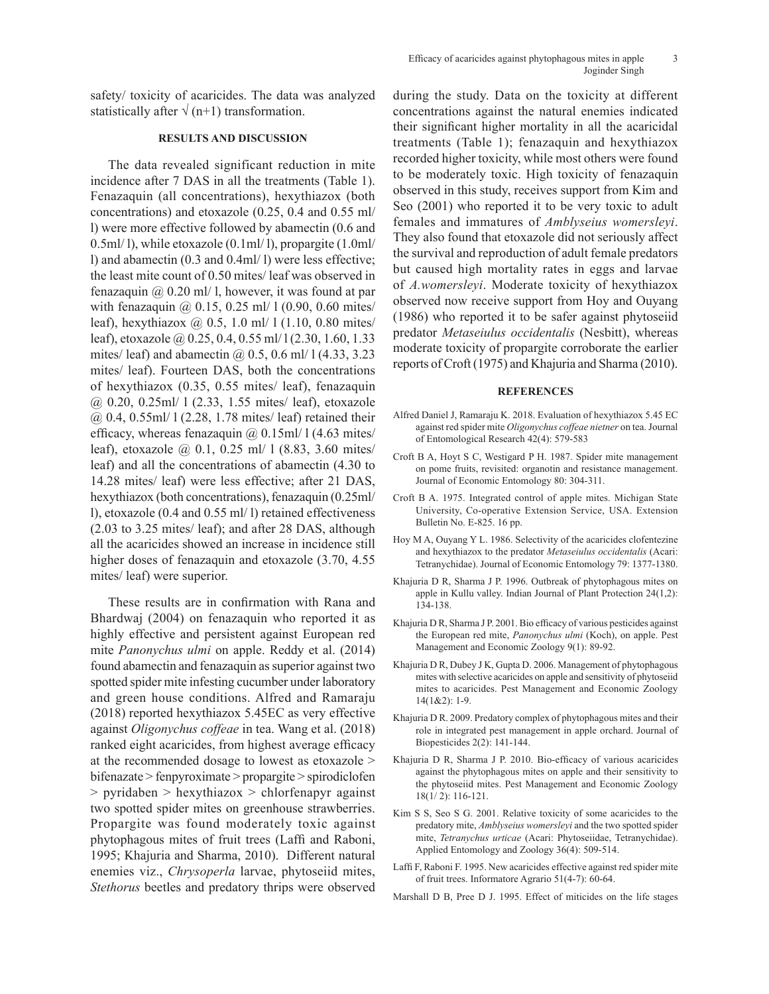safety/ toxicity of acaricides. The data was analyzed statistically after  $\sqrt{(n+1)}$  transformation.

# **RESULTS AND DISCUSSION**

The data revealed significant reduction in mite incidence after 7 DAS in all the treatments (Table 1). Fenazaquin (all concentrations), hexythiazox (both concentrations) and etoxazole (0.25, 0.4 and 0.55 ml/ l) were more effective followed by abamectin (0.6 and 0.5ml/ l), while etoxazole (0.1ml/ l), propargite (1.0ml/ l) and abamectin (0.3 and 0.4ml/ l) were less effective; the least mite count of 0.50 mites/ leaf was observed in fenazaquin  $\omega$  0.20 ml/ l, however, it was found at par with fenazaquin @ 0.15, 0.25 ml/ 1 (0.90, 0.60 mites/ leaf), hexythiazox @ 0.5, 1.0 ml/ l (1.10, 0.80 mites/ leaf), etoxazole @ 0.25, 0.4, 0.55 ml/1(2.30, 1.60, 1.33 mites/ leaf) and abamectin  $(a)$  0.5, 0.6 ml/ 1 (4.33, 3.23) mites/ leaf). Fourteen DAS, both the concentrations of hexythiazox (0.35, 0.55 mites/ leaf), fenazaquin @ 0.20, 0.25ml/ l (2.33, 1.55 mites/ leaf), etoxazole @ 0.4, 0.55ml/ l (2.28, 1.78 mites/ leaf) retained their efficacy, whereas fenazaquin  $\omega(0.15 \text{m})/1$  (4.63 mites/ leaf), etoxazole @ 0.1, 0.25 ml/ l (8.83, 3.60 mites/ leaf) and all the concentrations of abamectin (4.30 to 14.28 mites/ leaf) were less effective; after 21 DAS, hexythiazox (both concentrations), fenazaquin (0.25ml/ l), etoxazole (0.4 and 0.55 ml/ l) retained effectiveness (2.03 to 3.25 mites/ leaf); and after 28 DAS, although all the acaricides showed an increase in incidence still higher doses of fenazaquin and etoxazole (3.70, 4.55 mites/ leaf) were superior.

These results are in confirmation with Rana and Bhardwaj (2004) on fenazaquin who reported it as highly effective and persistent against European red mite *Panonychus ulmi* on apple. Reddy et al. (2014) found abamectin and fenazaquin as superior against two spotted spider mite infesting cucumber under laboratory and green house conditions. Alfred and Ramaraju (2018) reported hexythiazox 5.45EC as very effective against *Oligonychus coffeae* in tea. Wang et al. (2018) ranked eight acaricides, from highest average efficacy at the recommended dosage to lowest as etoxazole > bifenazate > fenpyroximate > propargite > spirodiclofen > pyridaben > hexythiazox > chlorfenapyr against two spotted spider mites on greenhouse strawberries. Propargite was found moderately toxic against phytophagous mites of fruit trees (Laffi and Raboni, 1995; Khajuria and Sharma, 2010). Different natural enemies viz., *Chrysoperla* larvae, phytoseiid mites, *Stethorus* beetles and predatory thrips were observed

during the study. Data on the toxicity at different concentrations against the natural enemies indicated their significant higher mortality in all the acaricidal treatments (Table 1); fenazaquin and hexythiazox recorded higher toxicity, while most others were found to be moderately toxic. High toxicity of fenazaquin observed in this study, receives support from Kim and Seo (2001) who reported it to be very toxic to adult females and immatures of *Amblyseius womersleyi*. They also found that etoxazole did not seriously affect the survival and reproduction of adult female predators but caused high mortality rates in eggs and larvae of *A.womersleyi*. Moderate toxicity of hexythiazox observed now receive support from Hoy and Ouyang (1986) who reported it to be safer against phytoseiid predator *Metaseiulus occidentalis* (Nesbitt), whereas moderate toxicity of propargite corroborate the earlier reports of Croft (1975) and Khajuria and Sharma (2010).

### **REFERENCES**

- Alfred Daniel J, Ramaraju K. 2018. Evaluation of hexythiazox 5.45 EC against red spider mite *Oligonychus coffeae nietner* on tea. Journal of Entomological Research 42(4): 579-583
- Croft B A, Hoyt S C, Westigard P H. 1987. Spider mite management on pome fruits, revisited: organotin and resistance management. Journal of Economic Entomology 80: 304-311.
- Croft B A. 1975. Integrated control of apple mites. Michigan State University, Co-operative Extension Service, USA. Extension Bulletin No. E-825. 16 pp.
- Hoy M A, Ouyang Y L. 1986. Selectivity of the acaricides clofentezine and hexythiazox to the predator *Metaseiulus occidentalis* (Acari: Tetranychidae). Journal of Economic Entomology 79: 1377-1380.
- Khajuria D R, Sharma J P. 1996. Outbreak of phytophagous mites on apple in Kullu valley. Indian Journal of Plant Protection 24(1,2): 134-138.
- Khajuria D R, Sharma J P. 2001. Bio efficacy of various pesticides against the European red mite, *Panonychus ulmi* (Koch), on apple. Pest Management and Economic Zoology 9(1): 89-92.
- Khajuria D R, Dubey J K, Gupta D. 2006. Management of phytophagous mites with selective acaricides on apple and sensitivity of phytoseiid mites to acaricides. Pest Management and Economic Zoology 14(1&2): 1-9.
- Khajuria D R. 2009. Predatory complex of phytophagous mites and their role in integrated pest management in apple orchard. Journal of Biopesticides 2(2): 141-144.
- Khajuria D R, Sharma J P. 2010. Bio-efficacy of various acaricides against the phytophagous mites on apple and their sensitivity to the phytoseiid mites. Pest Management and Economic Zoology 18(1/ 2): 116-121.
- Kim S S, Seo S G. 2001. Relative toxicity of some acaricides to the predatory mite, *Amblyseius womersleyi* and the two spotted spider mite, *Tetranychus urticae* (Acari: Phytoseiidae, Tetranychidae). Applied Entomology and Zoology 36(4): 509-514.
- Laffi F, Raboni F. 1995. New acaricides effective against red spider mite of fruit trees. Informatore Agrario 51(4-7): 60-64.
- Marshall D B, Pree D J. 1995. Effect of miticides on the life stages